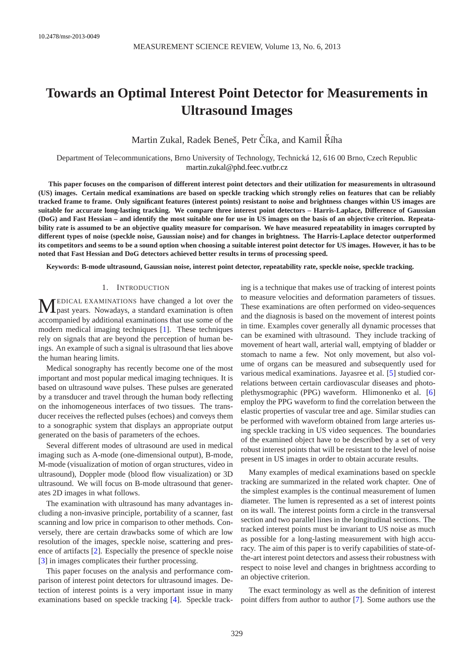# **Towards an Optimal Interest Point Detector for Measurements in Ultrasound Images**

Martin Zukal, Radek Beneš, Petr Číka, and Kamil Říha

Department of Telecommunications, Brno University of Technology, Technická 12, 616 00 Brno, Czech Republic [martin.zukal@phd.feec.vutbr.cz](mailto:martin.zukal@phd.feec.vutbr.cz)

**This paper focuses on the comparison of different interest point detectors and their utilization for measurements in ultrasound (US) images. Certain medical examinations are based on speckle tracking which strongly relies on features that can be reliably tracked frame to frame. Only significant features (interest points) resistant to noise and brightness changes within US images are suitable for accurate long-lasting tracking. We compare three interest point detectors – Harris-Laplace, Difference of Gaussian (DoG) and Fast Hessian – and identify the most suitable one for use in US images on the basis of an objective criterion. Repeatability rate is assumed to be an objective quality measure for comparison. We have measured repeatability in images corrupted by different types of noise (speckle noise, Gaussian noise) and for changes in brightness. The Harris-Laplace detector outperformed its competitors and seems to be a sound option when choosing a suitable interest point detector for US images. However, it has to be noted that Fast Hessian and DoG detectors achieved better results in terms of processing speed.**

**Keywords: B-mode ultrasound, Gaussian noise, interest point detector, repeatability rate, speckle noise, speckle tracking.**

## 1. INTRODUCTION

MEDICAL EXAMINATIONS have changed a lot over the past years. Nowadays, a standard examination is often accompanied by additional examinations that use some of the modern medical imaging techniques [\[1\]](#page-8-0). These techniques rely on signals that are beyond the perception of human beings. An example of such a signal is ultrasound that lies above the human hearing limits.

Medical sonography has recently become one of the most important and most popular medical imaging techniques. It is based on ultrasound wave pulses. These pulses are generated by a transducer and travel through the human body reflecting on the inhomogeneous interfaces of two tissues. The transducer receives the reflected pulses (echoes) and conveys them to a sonographic system that displays an appropriate output generated on the basis of parameters of the echoes.

Several different modes of ultrasound are used in medical imaging such as A-mode (one-dimensional output), B-mode, M-mode (visualization of motion of organ structures, video in ultrasound), Doppler mode (blood flow visualization) or 3D ultrasound. We will focus on B-mode ultrasound that generates 2D images in what follows.

The examination with ultrasound has many advantages including a non-invasive principle, portability of a scanner, fast scanning and low price in comparison to other methods. Conversely, there are certain drawbacks some of which are low resolution of the images, speckle noise, scattering and presence of artifacts [\[2\]](#page-8-1). Especially the presence of speckle noise [\[3\]](#page-8-2) in images complicates their further processing.

This paper focuses on the analysis and performance comparison of interest point detectors for ultrasound images. Detection of interest points is a very important issue in many examinations based on speckle tracking [\[4\]](#page-8-3). Speckle tracking is a technique that makes use of tracking of interest points to measure velocities and deformation parameters of tissues. These examinations are often performed on video-sequences and the diagnosis is based on the movement of interest points in time. Examples cover generally all dynamic processes that can be examined with ultrasound. They include tracking of movement of heart wall, arterial wall, emptying of bladder or stomach to name a few. Not only movement, but also volume of organs can be measured and subsequently used for various medical examinations. Jayasree et al. [\[5\]](#page-8-4) studied correlations between certain cardiovascular diseases and photoplethysmographic (PPG) waveform. Hlimonenko et al. [\[6\]](#page-8-5) employ the PPG waveform to find the correlation between the elastic properties of vascular tree and age. Similar studies can be performed with waveform obtained from large arteries using speckle tracking in US video sequences. The boundaries of the examined object have to be described by a set of very robust interest points that will be resistant to the level of noise present in US images in order to obtain accurate results.

Many examples of medical examinations based on speckle tracking are summarized in the related work chapter. One of the simplest examples is the continual measurement of lumen diameter. The lumen is represented as a set of interest points on its wall. The interest points form a circle in the transversal section and two parallel lines in the longitudinal sections. The tracked interest points must be invariant to US noise as much as possible for a long-lasting measurement with high accuracy. The aim of this paper is to verify capabilities of state-ofthe-art interest point detectors and assess their robustness with respect to noise level and changes in brightness according to an objective criterion.

The exact terminology as well as the definition of interest point differs from author to author [\[7\]](#page-8-6). Some authors use the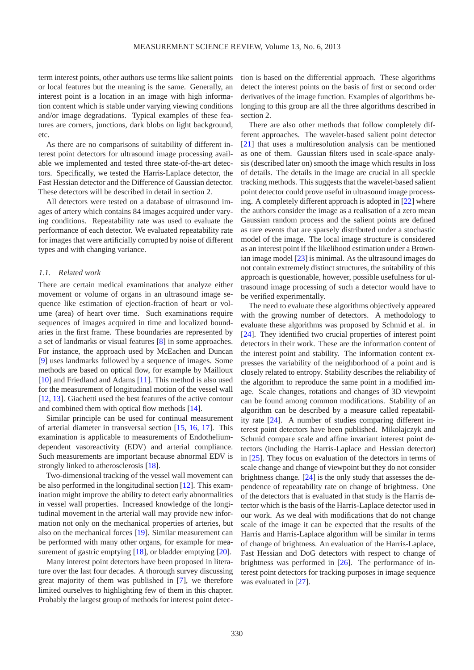term interest points, other authors use terms like salient points or local features but the meaning is the same. Generally, an interest point is a location in an image with high information content which is stable under varying viewing conditions and/or image degradations. Typical examples of these features are corners, junctions, dark blobs on light background, etc.

As there are no comparisons of suitability of different interest point detectors for ultrasound image processing available we implemented and tested three state-of-the-art detectors. Specifically, we tested the Harris-Laplace detector, the Fast Hessian detector and the Difference of Gaussian detector. These detectors will be described in detail in section [2.](#page-2-0)

All detectors were tested on a database of ultrasound images of artery which contains 84 images acquired under varying conditions. Repeatability rate was used to evaluate the performance of each detector. We evaluated repeatability rate for images that were artificially corrupted by noise of different types and with changing variance.

#### 1.1. Related work

There are certain medical examinations that analyze either movement or volume of organs in an ultrasound image sequence like estimation of ejection-fraction of heart or volume (area) of heart over time. Such examinations require sequences of images acquired in time and localized boundaries in the first frame. These boundaries are represented by a set of landmarks or visual features [\[8\]](#page-8-7) in some approaches. For instance, the approach used by McEachen and Duncan [\[9\]](#page-8-8) uses landmarks followed by a sequence of images. Some methods are based on optical flow, for example by Mailloux [\[10\]](#page-8-9) and Friedland and Adams [\[11\]](#page-8-10). This method is also used for the measurement of longitudinal motion of the vessel wall [\[12,](#page-8-11) [13\]](#page-8-12). Giachetti used the best features of the active contour and combined them with optical flow methods [\[14\]](#page-9-0).

Similar principle can be used for continual measurement of arterial diameter in transversal section [\[15,](#page-9-1) [16,](#page-9-2) [17\]](#page-9-3). This examination is applicable to measurements of Endotheliumdependent vasoreactivity (EDV) and arterial compliance. Such measurements are important because abnormal EDV is strongly linked to atherosclerosis [\[18\]](#page-9-4).

Two-dimensional tracking of the vessel wall movement can be also performed in the longitudinal section [\[12\]](#page-8-11). This examination might improve the ability to detect early abnormalities in vessel wall properties. Increased knowledge of the longitudinal movement in the arterial wall may provide new information not only on the mechanical properties of arteries, but also on the mechanical forces [\[19\]](#page-9-5). Similar measurement can be performed with many other organs, for example for mea-surement of gastric emptying [\[18\]](#page-9-4), or bladder emptying [\[20\]](#page-9-6).

Many interest point detectors have been proposed in literature over the last four decades. A thorough survey discussing great majority of them was published in [\[7\]](#page-8-6), we therefore limited ourselves to highlighting few of them in this chapter. Probably the largest group of methods for interest point detection is based on the differential approach. These algorithms detect the interest points on the basis of first or second order derivatives of the image function. Examples of algorithms belonging to this group are all the three algorithms described in section [2.](#page-2-0)

There are also other methods that follow completely different approaches. The wavelet-based salient point detector [\[21\]](#page-9-7) that uses a multiresolution analysis can be mentioned as one of them. Gaussian filters used in scale-space analysis (described later on) smooth the image which results in loss of details. The details in the image are crucial in all speckle tracking methods. This suggests that the wavelet-based salient point detector could prove useful in ultrasound image processing. A completely different approach is adopted in [\[22\]](#page-9-8) where the authors consider the image as a realisation of a zero mean Gaussian random process and the salient points are defined as rare events that are sparsely distributed under a stochastic model of the image. The local image structure is considered as an interest point if the likelihood estimation under a Brownian image model [\[23\]](#page-9-9) is minimal. As the ultrasound images do not contain extremely distinct structures, the suitability of this approach is questionable, however, possible usefulness for ultrasound image processing of such a detector would have to be verified experimentally.

The need to evaluate these algorithms objectively appeared with the growing number of detectors. A methodology to evaluate these algorithms was proposed by Schmid et al. in [\[24\]](#page-9-10). They identified two crucial properties of interest point detectors in their work. These are the information content of the interest point and stability. The information content expresses the variability of the neighborhood of a point and is closely related to entropy. Stability describes the reliability of the algorithm to reproduce the same point in a modified image. Scale changes, rotations and changes of 3D viewpoint can be found among common modifications. Stability of an algorithm can be described by a measure called repeatability rate [\[24\]](#page-9-10). A number of studies comparing different interest point detectors have been published. Mikolajczyk and Schmid compare scale and affine invariant interest point detectors (including the Harris-Laplace and Hessian detector) in [\[25\]](#page-9-11). They focus on evaluation of the detectors in terms of scale change and change of viewpoint but they do not consider brightness change. [\[24\]](#page-9-10) is the only study that assesses the dependence of repeatability rate on change of brightness. One of the detectors that is evaluated in that study is the Harris detector which is the basis of the Harris-Laplace detector used in our work. As we deal with modifications that do not change scale of the image it can be expected that the results of the Harris and Harris-Laplace algorithm will be similar in terms of change of brightness. An evaluation of the Harris-Laplace, Fast Hessian and DoG detectors with respect to change of brightness was performed in [\[26\]](#page-9-12). The performance of interest point detectors for tracking purposes in image sequence was evaluated in [\[27\]](#page-9-13).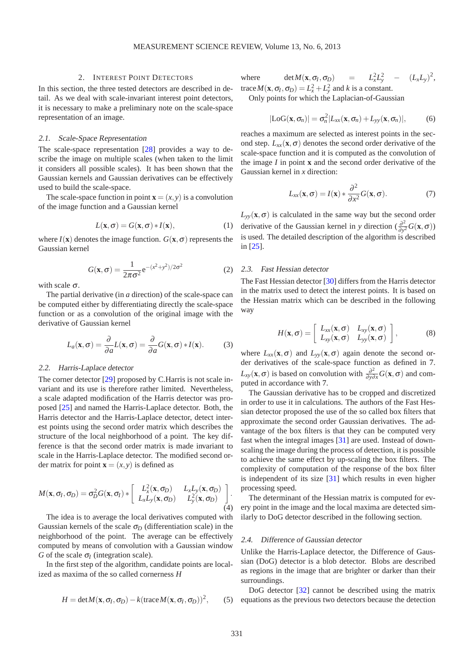## 2. INTEREST POINT DETECTORS

<span id="page-2-0"></span>In this section, the three tested detectors are described in detail. As we deal with scale-invariant interest point detectors, it is necessary to make a preliminary note on the scale-space representation of an image.

# 2.1. Scale-Space Representation

The scale-space representation [\[28\]](#page-9-14) provides a way to describe the image on multiple scales (when taken to the limit it considers all possible scales). It has been shown that the Gaussian kernels and Gaussian derivatives can be effectively used to build the scale-space.

The scale-space function in point  $\mathbf{x} = (x, y)$  is a convolution of the image function and a Gaussian kernel

$$
L(\mathbf{x}, \sigma) = G(\mathbf{x}, \sigma) * I(\mathbf{x}), \tag{1}
$$

where  $I(\mathbf{x})$  denotes the image function.  $G(\mathbf{x}, \sigma)$  represents the Gaussian kernel

$$
G(\mathbf{x}, \sigma) = \frac{1}{2\pi\sigma^2} e^{-(x^2 + y^2)/2\sigma^2}
$$
 (2)

with scale  $\sigma$ .

The partial derivative (in *a* direction) of the scale-space can be computed either by differentiating directly the scale-space function or as a convolution of the original image with the derivative of Gaussian kernel

$$
L_a(\mathbf{x}, \sigma) = \frac{\partial}{\partial a} L(\mathbf{x}, \sigma) = \frac{\partial}{\partial a} G(\mathbf{x}, \sigma) * I(\mathbf{x}).
$$
 (3)

#### 2.2. Harris-Laplace detector

The corner detector [\[29\]](#page-9-15) proposed by C.Harris is not scale invariant and its use is therefore rather limited. Nevertheless, a scale adapted modification of the Harris detector was proposed [\[25\]](#page-9-11) and named the Harris-Laplace detector. Both, the Harris detector and the Harris-Laplace detector, detect interest points using the second order matrix which describes the structure of the local neighborhood of a point. The key difference is that the second order matrix is made invariant to scale in the Harris-Laplace detector. The modified second order matrix for point  $\mathbf{x} = (x, y)$  is defined as

<span id="page-2-2"></span>
$$
M(\mathbf{x}, \sigma_I, \sigma_D) = \sigma_D^2 G(\mathbf{x}, \sigma_I) * \left[ \begin{array}{cc} L_x^2(\mathbf{x}, \sigma_D) & L_x L_y(\mathbf{x}, \sigma_D) \\ L_x L_y(\mathbf{x}, \sigma_D) & L_y^2(\mathbf{x}, \sigma_D) \end{array} \right].
$$
\n(4)

The idea is to average the local derivatives computed with Gaussian kernels of the scale  $\sigma_D$  (differentiation scale) in the neighborhood of the point. The average can be effectively computed by means of convolution with a Gaussian window *G* of the scale  $\sigma$ <sup>*I*</sup> (integration scale).

In the first step of the algorithm, candidate points are localized as maxima of the so called cornerness *H*

$$
H = \det M(\mathbf{x}, \sigma_I, \sigma_D) - k(\text{trace } M(\mathbf{x}, \sigma_I, \sigma_D))^2, \quad (5)
$$

where  $\det M(\mathbf{x}, \sigma_I, \sigma_D) = L_x^2 L_y^2 - (L_x L_y)^2$ , trace  $M(\mathbf{x}, \sigma_I, \sigma_D) = L_x^2 + L_y^2$  and *k* is a constant.

Only points for which the Laplacian-of-Gaussian

$$
|\mathrm{LoG}(\mathbf{x},\sigma_n)|=\sigma_n^2|L_{xx}(\mathbf{x},\sigma_n)+L_{yy}(\mathbf{x},\sigma_n)|,\qquad(6)
$$

reaches a maximum are selected as interest points in the second step.  $L_{xx}(\mathbf{x}, \sigma)$  denotes the second order derivative of the scale-space function and it is computed as the convolution of the image *I* in point **x** and the second order derivative of the Gaussian kernel in *x* direction:

<span id="page-2-1"></span>
$$
L_{xx}(\mathbf{x}, \sigma) = I(\mathbf{x}) * \frac{\partial^2}{\partial x^2} G(\mathbf{x}, \sigma).
$$
 (7)

 $L_{yy}(\mathbf{x}, \sigma)$  is calculated in the same way but the second order derivative of the Gaussian kernel in *y* direction ( $\frac{\partial^2}{\partial y^2} G(\mathbf{x}, \sigma)$ ) is used. The detailed description of the algorithm is described in [\[25\]](#page-9-11).

## 2.3. Fast Hessian detector

The Fast Hessian detector [\[30\]](#page-9-16) differs from the Harris detector in the matrix used to detect the interest points. It is based on the Hessian matrix which can be described in the following way

<span id="page-2-3"></span>
$$
H(\mathbf{x}, \sigma) = \left[ \begin{array}{cc} L_{xx}(\mathbf{x}, \sigma) & L_{xy}(\mathbf{x}, \sigma) \\ L_{xy}(\mathbf{x}, \sigma) & L_{yy}(\mathbf{x}, \sigma) \end{array} \right],
$$
(8)

where  $L_{xx}(\mathbf{x}, \sigma)$  and  $L_{yy}(\mathbf{x}, \sigma)$  again denote the second order derivatives of the scale-space function as defined in [7.](#page-2-1)  $L_{xy}$ (**x***,*σ) is based on convolution with  $\frac{\partial^2}{\partial y \partial x} G(\mathbf{x}, \sigma)$  and computed in accordance with [7.](#page-2-1)

The Gaussian derivative has to be cropped and discretized in order to use it in calculations. The authors of the Fast Hessian detector proposed the use of the so called box filters that approximate the second order Gaussian derivatives. The advantage of the box filters is that they can be computed very fast when the integral images [\[31\]](#page-9-17) are used. Instead of downscaling the image during the process of detection, it is possible to achieve the same effect by up-scaling the box filters. The complexity of computation of the response of the box filter is independent of its size [\[31\]](#page-9-17) which results in even higher processing speed.

The determinant of the Hessian matrix is computed for every point in the image and the local maxima are detected similarly to DoG detector described in the following section.

#### 2.4. Difference of Gaussian detector

Unlike the Harris-Laplace detector, the Difference of Gaussian (DoG) detector is a blob detector. Blobs are described as regions in the image that are brighter or darker than their surroundings.

DoG detector [\[32\]](#page-9-18) cannot be described using the matrix equations as the previous two detectors because the detection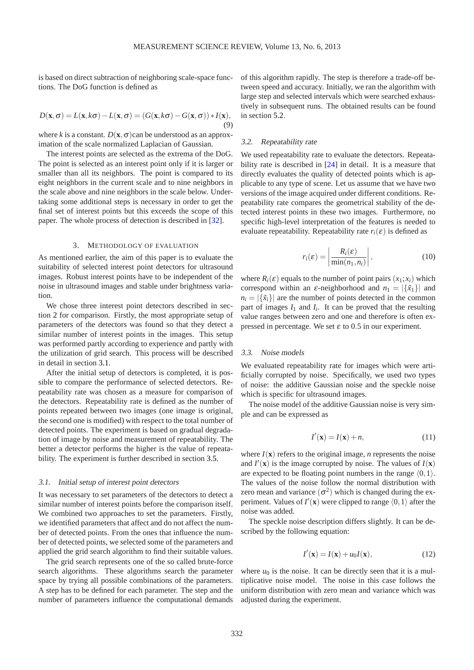is based on direct subtraction of neighboring scale-space functions. The DoG function is defined as

<span id="page-3-1"></span>
$$
D(\mathbf{x}, \sigma) = L(\mathbf{x}, k\sigma) - L(\mathbf{x}, \sigma) = (G(\mathbf{x}, k\sigma) - G(\mathbf{x}, \sigma)) * I(\mathbf{x}),
$$
\n(9)

where *k* is a constant.  $D(\mathbf{x}, \sigma)$ can be understood as an approximation of the scale normalized Laplacian of Gaussian.

The interest points are selected as the extrema of the DoG. The point is selected as an interest point only if it is larger or smaller than all its neighbors. The point is compared to its eight neighbors in the current scale and to nine neighbors in the scale above and nine neighbors in the scale below. Undertaking some additional steps is necessary in order to get the final set of interest points but this exceeds the scope of this paper. The whole process of detection is described in [\[32\]](#page-9-18).

# 3. METHODOLOGY OF EVALUATION

As mentioned earlier, the aim of this paper is to evaluate the suitability of selected interest point detectors for ultrasound images. Robust interest points have to be independent of the noise in ultrasound images and stable under brightness variation.

We chose three interest point detectors described in section [2](#page-2-0) for comparison. Firstly, the most appropriate setup of parameters of the detectors was found so that they detect a similar number of interest points in the images. This setup was performed partly according to experience and partly with the utilization of grid search. This process will be described in detail in section [3.1.](#page-3-0)

After the initial setup of detectors is completed, it is possible to compare the performance of selected detectors. Repeatability rate was chosen as a measure for comparison of the detectors. Repeatability rate is defined as the number of points repeated between two images (one image is original, the second one is modified) with respect to the total number of detected points. The experiment is based on gradual degradation of image by noise and measurement of repeatability. The better a detector performs the higher is the value of repeatability. The experiment is further described in section [3.5.](#page-4-0)

# <span id="page-3-0"></span>3.1. Initial setup of interest point detectors

It was necessary to set parameters of the detectors to detect a similar number of interest points before the comparison itself. We combined two approaches to set the parameters. Firstly, we identified parameters that affect and do not affect the number of detected points. From the ones that influence the number of detected points, we selected some of the parameters and applied the grid search algorithm to find their suitable values.

The grid search represents one of the so called brute-force search algorithms. These algorithms search the parameter space by trying all possible combinations of the parameters. A step has to be defined for each parameter. The step and the number of parameters influence the computational demands of this algorithm rapidly. The step is therefore a trade-off between speed and accuracy. Initially, we ran the algorithm with large step and selected intervals which were searched exhaustively in subsequent runs. The obtained results can be found in section [5.2.](#page-6-0)

#### 3.2. Repeatability rate

We used repeatability rate to evaluate the detectors. Repeatability rate is described in [\[24\]](#page-9-10) in detail. It is a measure that directly evaluates the quality of detected points which is applicable to any type of scene. Let us assume that we have two versions of the image acquired under different conditions. Repeatability rate compares the geometrical stability of the detected interest points in these two images. Furthermore, no specific high-level interpretation of the features is needed to evaluate repeatability. Repeatability rate  $r_i(\varepsilon)$  is defined as

$$
r_i(\varepsilon) = \left| \frac{R_i(\varepsilon)}{\min(n_1, n_i)} \right|,
$$
\n(10)

where  $R_i(\varepsilon)$  equals to the number of point pairs  $(x_1; x_i)$  which correspond within an  $\varepsilon$ -neighborhood and  $n_1 = |\{\tilde{x}_1\}|$  and  $n_i = |\{\tilde{x}_i\}|$  are the number of points detected in the common part of images  $I_1$  and  $I_i$ . It can be proved that the resulting value ranges between zero and one and therefore is often expressed in percentage. We set  $\varepsilon$  to 0.5 in our experiment.

## 3.3. Noise models

We evaluated repeatability rate for images which were artificially corrupted by noise. Specifically, we used two types of noise: the additive Gaussian noise and the speckle noise which is specific for ultrasound images.

The noise model of the additive Gaussian noise is very simple and can be expressed as

$$
I'(\mathbf{x}) = I(\mathbf{x}) + n,\tag{11}
$$

where  $I(\mathbf{x})$  refers to the original image, *n* represents the noise and  $I'(\mathbf{x})$  is the image corrupted by noise. The values of  $I(\mathbf{x})$ are expected to be floating point numbers in the range  $(0,1)$ . The values of the noise follow the normal distribution with zero mean and variance  $(\sigma^2)$  which is changed during the experiment. Values of  $I'(\mathbf{x})$  were clipped to range  $\langle 0,1 \rangle$  after the noise was added.

The speckle noise description differs slightly. It can be described by the following equation:

$$
I'(\mathbf{x}) = I(\mathbf{x}) + u_0 I(\mathbf{x}),\tag{12}
$$

where  $u_0$  is the noise. It can be directly seen that it is a multiplicative noise model. The noise in this case follows the uniform distribution with zero mean and variance which was adjusted during the experiment.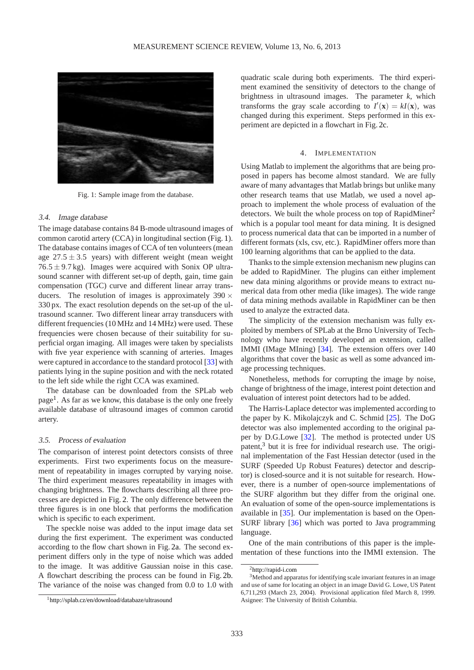<span id="page-4-1"></span>

Fig. 1: Sample image from the database.

#### 3.4. Image database

The image database contains 84 B-mode ultrasound images of common carotid artery (CCA) in longitudinal section (Fig. [1\)](#page-4-1). The database contains images of CCA of ten volunteers (mean age  $27.5 \pm 3.5$  years) with different weight (mean weight)  $76.5 \pm 9.7$  kg). Images were acquired with Sonix OP ultrasound scanner with different set-up of depth, gain, time gain compensation (TGC) curve and different linear array transducers. The resolution of images is approximately  $390 \times$ 330 px. The exact resolution depends on the set-up of the ultrasound scanner. Two different linear array transducers with different frequencies (10 MHz and 14 MHz) were used. These frequencies were chosen because of their suitability for superficial organ imaging. All images were taken by specialists with five year experience with scanning of arteries. Images were captured in accordance to the standard protocol [\[33\]](#page-9-19) with patients lying in the supine position and with the neck rotated to the left side while the right CCA was examined.

The database can be downloaded from the SPLab web  $page<sup>1</sup>$ . As far as we know, this database is the only one freely available database of ultrasound images of common carotid artery.

## <span id="page-4-0"></span>3.5. Process of evaluation

The comparison of interest point detectors consists of three experiments. First two experiments focus on the measurement of repeatability in images corrupted by varying noise. The third experiment measures repeatability in images with changing brightness. The flowcharts describing all three processes are depicted in Fig. [2.](#page-5-0) The only difference between the three figures is in one block that performs the modification which is specific to each experiment.

The speckle noise was added to the input image data set during the first experiment. The experiment was conducted according to the flow chart shown in Fig. [2a.](#page-5-1) The second experiment differs only in the type of noise which was added to the image. It was additive Gaussian noise in this case. A flowchart describing the process can be found in Fig. [2b.](#page-5-2) The variance of the noise was changed from 0.0 to 1.0 with quadratic scale during both experiments. The third experiment examined the sensitivity of detectors to the change of brightness in ultrasound images. The parameter *k*, which transforms the gray scale according to  $I'(\mathbf{x}) = kI(\mathbf{x})$ , was changed during this experiment. Steps performed in this experiment are depicted in a flowchart in Fig. [2c.](#page-5-3)

## 4. IMPLEMENTATION

Using Matlab to implement the algorithms that are being proposed in papers has become almost standard. We are fully aware of many advantages that Matlab brings but unlike many other research teams that use Matlab, we used a novel approach to implement the whole process of evaluation of the detectors. We built the whole process on top of RapidMiner<sup>2</sup> which is a popular tool meant for data mining. It is designed to process numerical data that can be imported in a number of different formats (xls, csv, etc.). RapidMiner offers more than 100 learning algorithms that can be applied to the data.

Thanks to the simple extension mechanism new plugins can be added to RapidMiner. The plugins can either implement new data mining algorithms or provide means to extract numerical data from other media (like images). The wide range of data mining methods available in RapidMiner can be then used to analyze the extracted data.

The simplicity of the extension mechanism was fully exploited by members of SPLab at the Brno University of Technology who have recently developed an extension, called IMMI (IMage MIning) [\[34\]](#page-9-20). The extension offers over 140 algorithms that cover the basic as well as some advanced image processing techniques.

Nonetheless, methods for corrupting the image by noise, change of brightness of the image, interest point detection and evaluation of interest point detectors had to be added.

The Harris-Laplace detector was implemented according to the paper by K. Mikolajczyk and C. Schmid [\[25\]](#page-9-11). The DoG detector was also implemented according to the original paper by D.G.Lowe [\[32\]](#page-9-18). The method is protected under US patent, $3$  but it is free for individual research use. The original implementation of the Fast Hessian detector (used in the SURF (Speeded Up Robust Features) detector and descriptor) is closed-source and it is not suitable for research. However, there is a number of open-source implementations of the SURF algorithm but they differ from the original one. An evaluation of some of the open-source implementations is available in [\[35\]](#page-9-21). Our implementation is based on the Open-SURF library [\[36\]](#page-9-22) which was ported to Java programming language.

One of the main contributions of this paper is the implementation of these functions into the IMMI extension. The

<span id="page-4-2"></span>[<sup>1</sup>http://splab.cz/en/download/databaze/ultrasound](http://splab.cz/en/download/databaze/ultrasound)

<span id="page-4-3"></span>[<sup>2</sup>http://rapid-i.com](http://rapid-i.com)

<span id="page-4-4"></span><sup>3</sup>Method and apparatus for identifying scale invariant features in an image and use of same for locating an object in an image David G. Lowe, US Patent 6,711,293 (March 23, 2004). Provisional application filed March 8, 1999. Asignee: The University of British Columbia.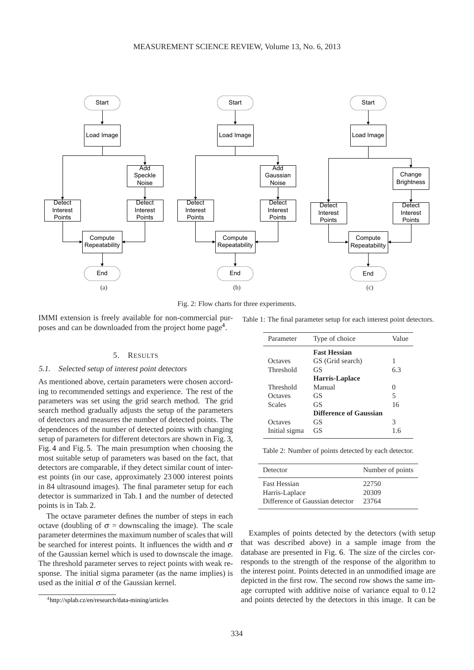<span id="page-5-1"></span><span id="page-5-0"></span>

<span id="page-5-2"></span>Fig. 2: Flow charts for three experiments.

IMMI extension is freely available for non-commercial purposes and can be downloaded from the project home pag[e4](#page-5-4).

# 5. RESULTS

## 5.1. Selected setup of interest point detectors

As mentioned above, certain parameters were chosen according to recommended settings and experience. The rest of the parameters was set using the grid search method. The grid search method gradually adjusts the setup of the parameters of detectors and measures the number of detected points. The dependences of the number of detected points with changing setup of parameters for different detectors are shown in Fig. [3,](#page-6-1) Fig. [4](#page-6-2) and Fig. [5.](#page-7-0) The main presumption when choosing the most suitable setup of parameters was based on the fact, that detectors are comparable, if they detect similar count of interest points (in our case, approximately 23 000 interest points in 84 ultrasound images). The final parameter setup for each detector is summarized in Tab. [1](#page-5-5) and the number of detected points is in Tab. [2.](#page-5-6)

The octave parameter defines the number of steps in each octave (doubling of  $\sigma$  = downscaling the image). The scale parameter determines the maximum number of scales that will be searched for interest points. It influences the width and  $\sigma$ of the Gaussian kernel which is used to downscale the image. The threshold parameter serves to reject points with weak response. The initial sigma parameter (as the name implies) is used as the initial  $\sigma$  of the Gaussian kernel.

<span id="page-5-5"></span>Table 1: The final parameter setup for each interest point detectors.

<span id="page-5-3"></span>

| Parameter     | Type of choice         | Value             |
|---------------|------------------------|-------------------|
|               | <b>Fast Hessian</b>    |                   |
| Octaves       | GS (Grid search)       | 1                 |
| Threshold     | GS                     | 6.3               |
|               | Harris-Laplace         |                   |
| Threshold     | Manual                 | $\mathbf{\Omega}$ |
| Octaves       | GS                     | 5                 |
| Scales        | GS                     | 16                |
|               | Difference of Gaussian |                   |
| Octaves       | GS                     | 3                 |
| Initial sigma | GS                     | 1.6               |
|               |                        |                   |

<span id="page-5-6"></span>Table 2: Number of points detected by each detector.

| Detector                        | Number of points |
|---------------------------------|------------------|
|                                 |                  |
| <b>Fast Hessian</b>             | 22750            |
| Harris-Laplace                  | 20309            |
| Difference of Gaussian detector | 23764            |

Examples of points detected by the detectors (with setup that was described above) in a sample image from the database are presented in Fig. [6.](#page-6-3) The size of the circles corresponds to the strength of the response of the algorithm to the interest point. Points detected in an unmodified image are depicted in the first row. The second row shows the same image corrupted with additive noise of variance equal to 0*.*12 and points detected by the detectors in this image. It can be

<span id="page-5-4"></span>[<sup>4</sup>http://splab.cz/en/research/data-mining/articles](http://splab.cz/en/research/data-mining/articles)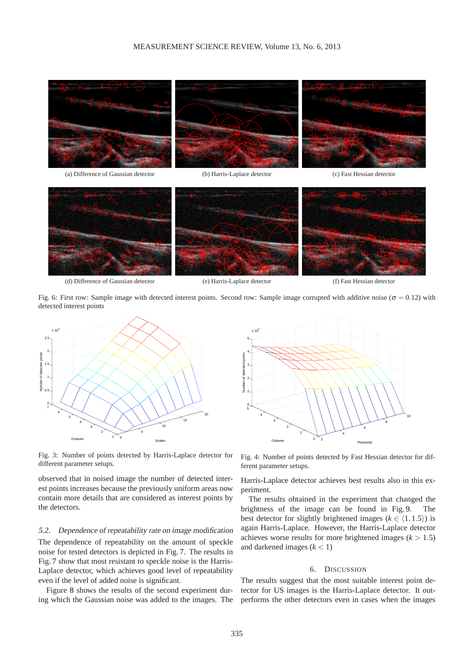<span id="page-6-3"></span>

(d) Difference of Gaussian detector (e) Harris-Laplace detector (f) Fast Hessian detector

Fig. 6: First row: Sample image with detected interest points. Second row: Sample image corrupted with additive noise ( $\sigma = 0.12$ ) with detected interest points

<span id="page-6-1"></span>

<span id="page-6-2"></span>

Fig. 3: Number of points detected by Harris-Laplace detector for different parameter setups.

observed that in noised image the number of detected interest points increases because the previously uniform areas now contain more details that are considered as interest points by the detectors.

<span id="page-6-0"></span>5.2. Dependence of repeatability rate on image modification The dependence of repeatability on the amount of speckle noise for tested detectors is depicted in Fig. [7.](#page-7-1) The results in Fig. [7](#page-7-1) show that most resistant to speckle noise is the Harris-Laplace detector, which achieves good level of repeatability

even if the level of added noise is significant. Figure [8](#page-7-2) shows the results of the second experiment during which the Gaussian noise was added to the images. The

Fig. 4: Number of points detected by Fast Hessian detector for different parameter setups.

Harris-Laplace detector achieves best results also in this experiment.

The results obtained in the experiment that changed the brightness of the image can be found in Fig. [9.](#page-7-3) The best detector for slightly brightened images ( $k \in \langle 1, 1.5 \rangle$ ) is again Harris-Laplace. However, the Harris-Laplace detector achieves worse results for more brightened images  $(k > 1.5)$ and darkened images  $(k < 1)$ 

# 6. DISCUSSION

The results suggest that the most suitable interest point detector for US images is the Harris-Laplace detector. It outperforms the other detectors even in cases when the images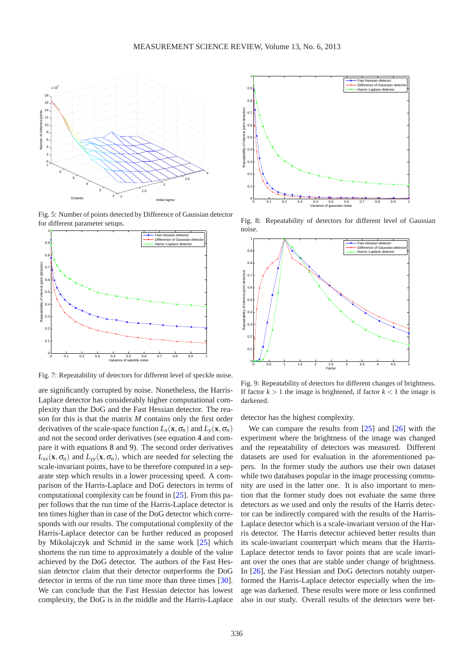<span id="page-7-0"></span>

<span id="page-7-1"></span>Fig. 5: Number of points detected by Difference of Gaussian detector for different parameter setups.



Fig. 7: Repeatability of detectors for different level of speckle noise.

are significantly corrupted by noise. Nonetheless, the Harris-Laplace detector has considerably higher computational complexity than the DoG and the Fast Hessian detector. The reason for this is that the matrix *M* contains only the first order derivatives of the scale-space function  $L_x(\mathbf{x}, \sigma_n)$  and  $L_y(\mathbf{x}, \sigma_n)$ and not the second order derivatives (see equation [4](#page-2-2) and compare it with equations [8](#page-2-3) and [9\)](#page-3-1). The second order derivatives  $L_{xx}(\mathbf{x}, \sigma_n)$  and  $L_{yy}(\mathbf{x}, \sigma_n)$ , which are needed for selecting the scale-invariant points, have to be therefore computed in a separate step which results in a lower processing speed. A comparison of the Harris-Laplace and DoG detectors in terms of computational complexity can be found in [\[25\]](#page-9-11). From this paper follows that the run time of the Harris-Laplace detector is ten times higher than in case of the DoG detector which corresponds with our results. The computational complexity of the Harris-Laplace detector can be further reduced as proposed by Mikolajczyk and Schmid in the same work [\[25\]](#page-9-11) which shortens the run time to approximately a double of the value achieved by the DoG detector. The authors of the Fast Hessian detector claim that their detector outperforms the DoG detector in terms of the run time more than three times [\[30\]](#page-9-16). We can conclude that the Fast Hessian detector has lowest complexity, the DoG is in the middle and the Harris-Laplace

<span id="page-7-2"></span>

<span id="page-7-3"></span>Fig. 8: Repeatability of detectors for different level of Gaussian noise.



Fig. 9: Repeatability of detectors for different changes of brightness. If factor  $k > 1$  the image is brightened, if factor  $k < 1$  the image is darkened.

detector has the highest complexity.

We can compare the results from  $[25]$  and  $[26]$  with the experiment where the brightness of the image was changed and the repeatability of detectors was measured. Different datasets are used for evaluation in the aforementioned papers. In the former study the authors use their own dataset while two databases popular in the image processing community are used in the latter one. It is also important to mention that the former study does not evaluate the same three detectors as we used and only the results of the Harris detector can be indirectly compared with the results of the Harris-Laplace detector which is a scale-invariant version of the Harris detector. The Harris detector achieved better results than its scale-invariant counterpart which means that the Harris-Laplace detector tends to favor points that are scale invariant over the ones that are stable under change of brightness. In [\[26\]](#page-9-12), the Fast Hessian and DoG detectors notably outperformed the Harris-Laplace detector especially when the image was darkened. These results were more or less confirmed also in our study. Overall results of the detectors were bet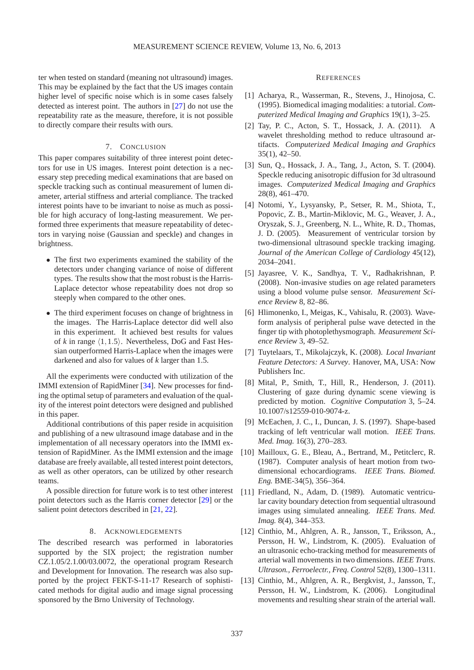ter when tested on standard (meaning not ultrasound) images. This may be explained by the fact that the US images contain higher level of specific noise which is in some cases falsely detected as interest point. The authors in [\[27\]](#page-9-13) do not use the repeatability rate as the measure, therefore, it is not possible to directly compare their results with ours.

# 7. CONCLUSION

This paper compares suitability of three interest point detectors for use in US images. Interest point detection is a necessary step preceding medical examinations that are based on speckle tracking such as continual measurement of lumen diameter, arterial stiffness and arterial compliance. The tracked interest points have to be invariant to noise as much as possible for high accuracy of long-lasting measurement. We performed three experiments that measure repeatability of detectors in varying noise (Gaussian and speckle) and changes in brightness.

- The first two experiments examined the stability of the detectors under changing variance of noise of different types. The results show that the most robust is the Harris-Laplace detector whose repeatability does not drop so steeply when compared to the other ones.
- The third experiment focuses on change of brightness in the images. The Harris-Laplace detector did well also in this experiment. It achieved best results for values of *k* in range  $\langle 1, 1.5 \rangle$ . Nevertheless, DoG and Fast Hessian outperformed Harris-Laplace when the images were darkened and also for values of *k* larger than 1.5.

All the experiments were conducted with utilization of the IMMI extension of RapidMiner [\[34\]](#page-9-20). New processes for finding the optimal setup of parameters and evaluation of the quality of the interest point detectors were designed and published in this paper.

Additional contributions of this paper reside in acquisition and publishing of a new ultrasound image database and in the implementation of all necessary operators into the IMMI extension of RapidMiner. As the IMMI extension and the image database are freely available, all tested interest point detectors, as well as other operators, can be utilized by other research teams.

A possible direction for future work is to test other interest point detectors such as the Harris corner detector [\[29\]](#page-9-15) or the salient point detectors described in [\[21,](#page-9-7) [22\]](#page-9-8).

## 8. ACKNOWLEDGEMENTS

The described research was performed in laboratories supported by the SIX project; the registration number CZ.1.05/2.1.00/03.0072, the operational program Research and Development for Innovation. The research was also supported by the project FEKT-S-11-17 Research of sophisticated methods for digital audio and image signal processing sponsored by the Brno University of Technology.

#### **REFERENCES**

- <span id="page-8-0"></span>[1] Acharya, R., Wasserman, R., Stevens, J., Hinojosa, C. (1995). Biomedical imaging modalities: a tutorial. *Computerized Medical Imaging and Graphics* 19(1), 3–25.
- <span id="page-8-1"></span>[2] Tay, P. C., Acton, S. T., Hossack, J. A. (2011). A wavelet thresholding method to reduce ultrasound artifacts. *Computerized Medical Imaging and Graphics* 35(1), 42–50.
- <span id="page-8-2"></span>[3] Sun, O., Hossack, J. A., Tang, J., Acton, S. T. (2004). Speckle reducing anisotropic diffusion for 3d ultrasound images. *Computerized Medical Imaging and Graphics* 28(8), 461–470.
- <span id="page-8-3"></span>[4] Notomi, Y., Lysyansky, P., Setser, R. M., Shiota, T., Popovic, Z. B., Martin-Miklovic, M. G., Weaver, J. A., Oryszak, S. J., Greenberg, N. L., White, R. D., Thomas, J. D. (2005). Measurement of ventricular torsion by two-dimensional ultrasound speckle tracking imaging. *Journal of the American College of Cardiology* 45(12), 2034–2041.
- <span id="page-8-4"></span>[5] Jayasree, V. K., Sandhya, T. V., Radhakrishnan, P. (2008). Non-invasive studies on age related parameters using a blood volume pulse sensor. *Measurement Science Review* 8, 82–86.
- <span id="page-8-5"></span>[6] Hlimonenko, I., Meigas, K., Vahisalu, R. (2003). Waveform analysis of peripheral pulse wave detected in the finger tip with photoplethysmograph. *Measurement Science Review* 3, 49–52.
- <span id="page-8-6"></span>[7] Tuytelaars, T., Mikolajczyk, K. (2008). *Local Invariant Feature Detectors: A Survey*. Hanover, MA, USA: Now Publishers Inc.
- <span id="page-8-7"></span>[8] Mital, P., Smith, T., Hill, R., Henderson, J. (2011). Clustering of gaze during dynamic scene viewing is predicted by motion. *Cognitive Computation* 3, 5–24. 10.1007/s12559-010-9074-z.
- <span id="page-8-8"></span>[9] McEachen, J. C., I., Duncan, J. S. (1997). Shape-based tracking of left ventricular wall motion. *IEEE Trans. Med. Imag.* 16(3), 270–283.
- <span id="page-8-9"></span>[10] Mailloux, G. E., Bleau, A., Bertrand, M., Petitclerc, R. (1987). Computer analysis of heart motion from twodimensional echocardiograms. *IEEE Trans. Biomed. Eng.* BME-34(5), 356–364.
- <span id="page-8-10"></span>[11] Friedland, N., Adam, D. (1989). Automatic ventricular cavity boundary detection from sequential ultrasound images using simulated annealing. *IEEE Trans. Med. Imag.* 8(4), 344–353.
- <span id="page-8-11"></span>[12] Cinthio, M., Ahlgren, A. R., Jansson, T., Eriksson, A., Persson, H. W., Lindstrom, K. (2005). Evaluation of an ultrasonic echo-tracking method for measurements of arterial wall movements in two dimensions. *IEEE Trans. Ultrason., Ferroelectr., Freq. Control* 52(8), 1300–1311.
- <span id="page-8-12"></span>[13] Cinthio, M., Ahlgren, A. R., Bergkvist, J., Jansson, T., Persson, H. W., Lindstrom, K. (2006). Longitudinal movements and resulting shear strain of the arterial wall.